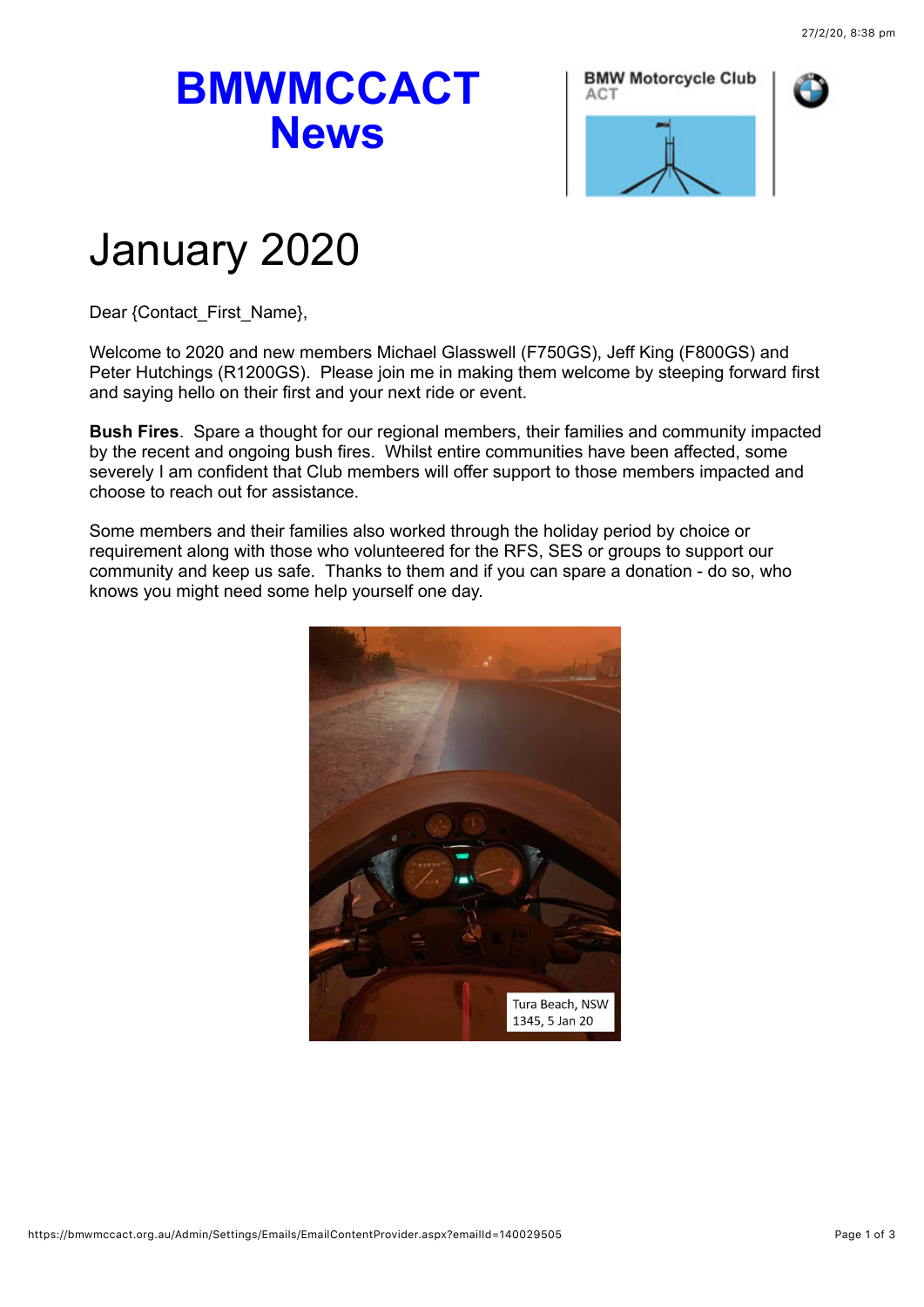## **BMWMCCACT News**





## January 2020

Dear {Contact\_First\_Name},

Welcome to 2020 and new members Michael Glasswell (F750GS), Jeff King (F800GS) and Peter Hutchings (R1200GS). Please join me in making them welcome by steeping forward first and saying hello on their first and your next ride or event.

**Bush Fires**. Spare a thought for our regional members, their families and community impacted by the recent and ongoing bush fires. Whilst entire communities have been affected, some severely I am confident that Club members will offer support to those members impacted and choose to reach out for assistance.

Some members and their families also worked through the holiday period by choice or requirement along with those who volunteered for the RFS, SES or groups to support our community and keep us safe. Thanks to them and if you can spare a donation - do so, who knows you might need some help yourself one day.

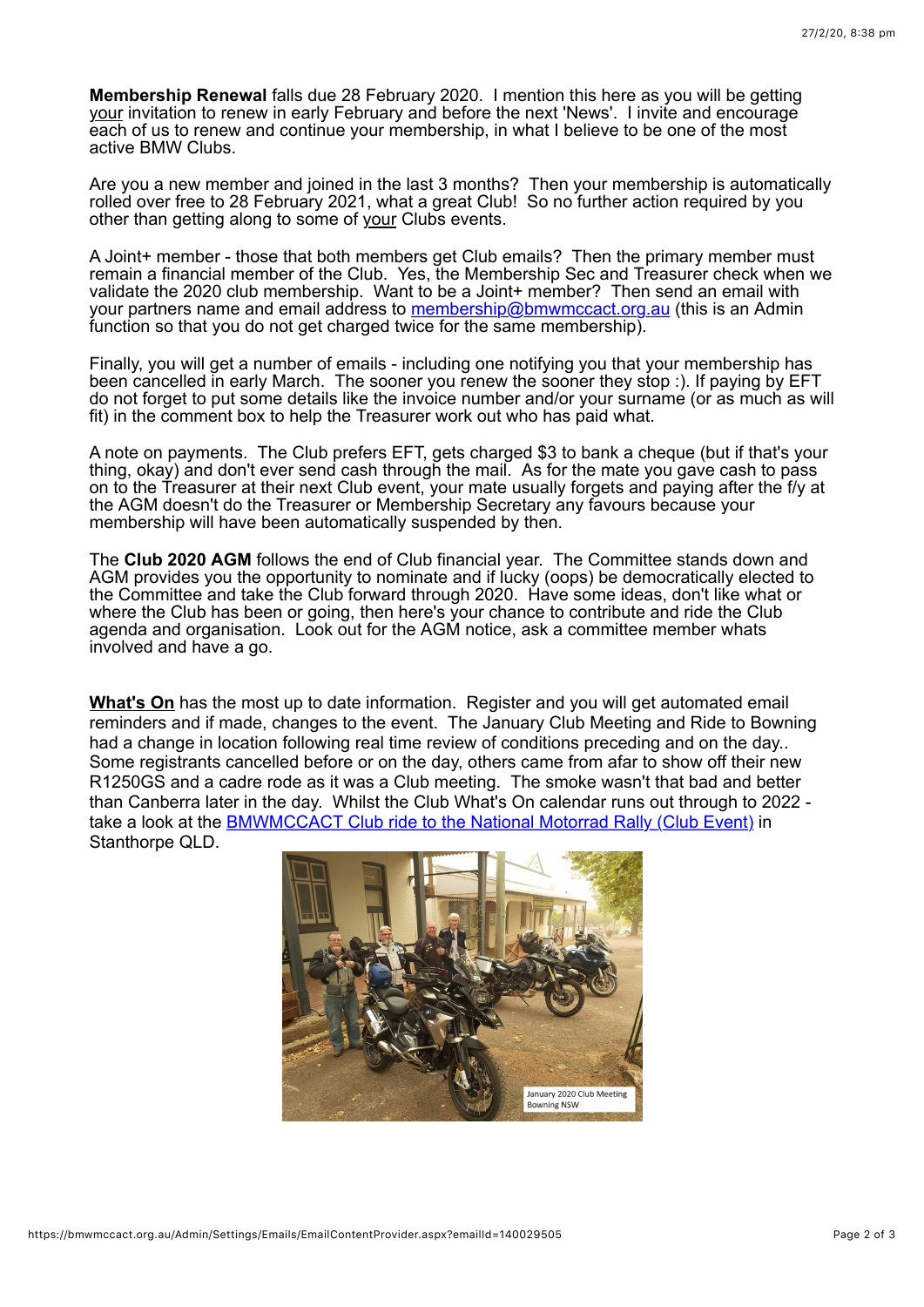**Membership Renewal** falls due 28 February 2020. I mention this here as you will be getting your invitation to renew in early February and before the next 'News'. I invite and encourage each of us to renew and continue your membership, in what I believe to be one of the most active BMW Clubs.

Are you a new member and joined in the last 3 months? Then your membership is automatically rolled over free to 28 February 2021, what a great Club! So no further action required by you other than getting along to some of your Clubs events.

A Joint+ member - those that both members get Club emails? Then the primary member must remain a financial member of the Club. Yes, the Membership Sec and Treasurer check when we validate the 2020 club membership. Want to be a Joint+ member? Then send an email with your partners name and email address to [membership@bmwmccact.org.au](mailto:membership@bmwmccact.org.au) (this is an Admin function so that you do not get charged twice for the same membership).

Finally, you will get a number of emails - including one notifying you that your membership has been cancelled in early March. The sooner you renew the sooner they stop :). If paying by EFT do not forget to put some details like the invoice number and/or your surname (or as much as will fit) in the comment box to help the Treasurer work out who has paid what.

A note on payments. The Club prefers EFT, gets charged \$3 to bank a cheque (but if that's your thing, okay) and don't ever send cash through the mail. As for the mate you gave cash to pass on to the Treasurer at their next Club event, your mate usually forgets and paying after the f/y at the AGM doesn't do the Treasurer or Membership Secretary any favours because your membership will have been automatically suspended by then.

The **Club 2020 AGM** follows the end of Club financial year. The Committee stands down and AGM provides you the opportunity to nominate and if lucky (oops) be democratically elected to the Committee and take the Club forward through 2020. Have some ideas, don't like what or where the Club has been or going, then here's your chance to contribute and ride the Club agenda and organisation. Look out for the AGM notice, ask a committee member whats involved and have a go.

**[What's On](https://bmwmccact.org.au/page-1419638)** has the most up to date information. Register and you will get automated email reminders and if made, changes to the event. The January Club Meeting and Ride to Bowning had a change in location following real time review of conditions preceding and on the day.. Some registrants cancelled before or on the day, others came from afar to show off their new R1250GS and a cadre rode as it was a Club meeting. The smoke wasn't that bad and better than Canberra later in the day. Whilst the Club What's On calendar runs out through to 2022 take a look at the [BMWMCCACT Club ride to the National Motorrad Rally \(Club Event\)](https://bmwmccact.org.au/event-3685244) in Stanthorpe QLD.